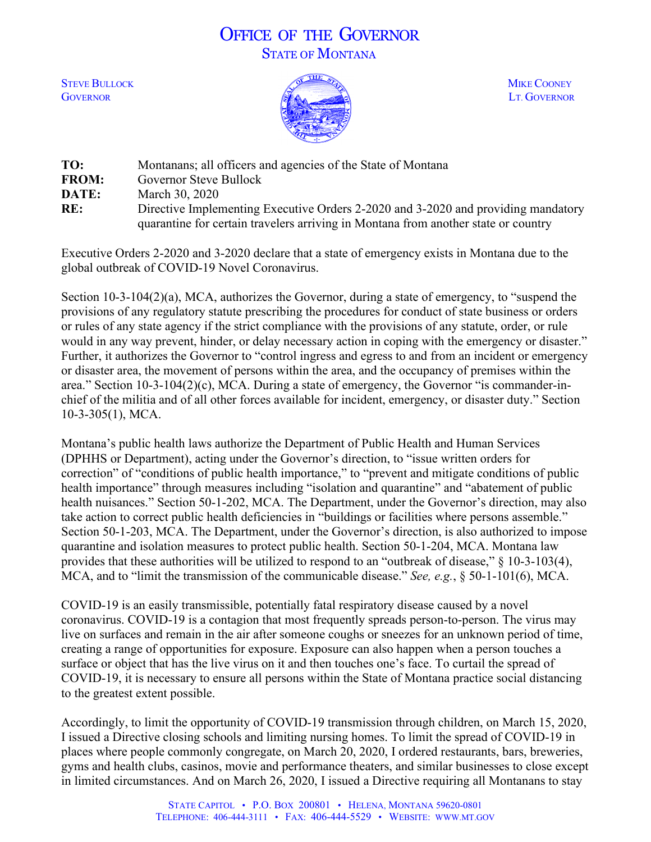# OFFICE OF THE GOVERNOR STATE OF MONTANA



| TO:          | Montanans; all officers and agencies of the State of Montana                       |
|--------------|------------------------------------------------------------------------------------|
| <b>FROM:</b> | <b>Governor Steve Bullock</b>                                                      |
| DATE:        | March 30, 2020                                                                     |
| RE:          | Directive Implementing Executive Orders 2-2020 and 3-2020 and providing mandatory  |
|              | quarantine for certain travelers arriving in Montana from another state or country |

Executive Orders 2-2020 and 3-2020 declare that a state of emergency exists in Montana due to the global outbreak of COVID-19 Novel Coronavirus.

Section 10-3-104(2)(a), MCA, authorizes the Governor, during a state of emergency, to "suspend the provisions of any regulatory statute prescribing the procedures for conduct of state business or orders or rules of any state agency if the strict compliance with the provisions of any statute, order, or rule would in any way prevent, hinder, or delay necessary action in coping with the emergency or disaster." Further, it authorizes the Governor to "control ingress and egress to and from an incident or emergency or disaster area, the movement of persons within the area, and the occupancy of premises within the area." Section 10-3-104(2)(c), MCA. During a state of emergency, the Governor "is commander-inchief of the militia and of all other forces available for incident, emergency, or disaster duty." Section 10-3-305(1), MCA.

Montana's public health laws authorize the Department of Public Health and Human Services (DPHHS or Department), acting under the Governor's direction, to "issue written orders for correction" of "conditions of public health importance," to "prevent and mitigate conditions of public health importance" through measures including "isolation and quarantine" and "abatement of public health nuisances." Section 50-1-202, MCA. The Department, under the Governor's direction, may also take action to correct public health deficiencies in "buildings or facilities where persons assemble." Section 50-1-203, MCA. The Department, under the Governor's direction, is also authorized to impose quarantine and isolation measures to protect public health. Section 50-1-204, MCA. Montana law provides that these authorities will be utilized to respond to an "outbreak of disease," § 10-3-103(4), MCA, and to "limit the transmission of the communicable disease." *See, e.g.*, § 50-1-101(6), MCA.

COVID-19 is an easily transmissible, potentially fatal respiratory disease caused by a novel coronavirus. COVID-19 is a contagion that most frequently spreads person-to-person. The virus may live on surfaces and remain in the air after someone coughs or sneezes for an unknown period of time, creating a range of opportunities for exposure. Exposure can also happen when a person touches a surface or object that has the live virus on it and then touches one's face. To curtail the spread of COVID-19, it is necessary to ensure all persons within the State of Montana practice social distancing to the greatest extent possible.

Accordingly, to limit the opportunity of COVID-19 transmission through children, on March 15, 2020, I issued a Directive closing schools and limiting nursing homes. To limit the spread of COVID-19 in places where people commonly congregate, on March 20, 2020, I ordered restaurants, bars, breweries, gyms and health clubs, casinos, movie and performance theaters, and similar businesses to close except in limited circumstances. And on March 26, 2020, I issued a Directive requiring all Montanans to stay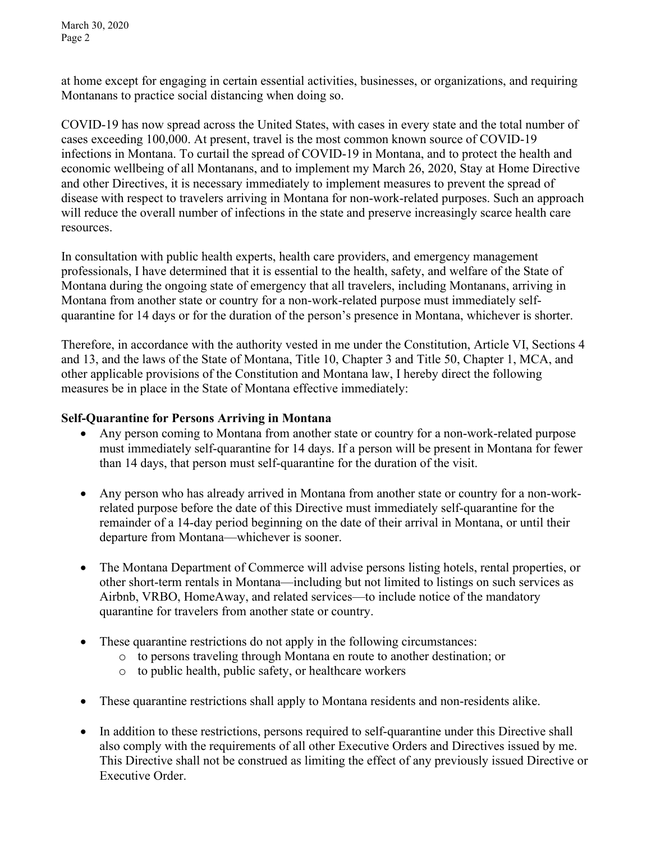March 30, 2020 Page 2

at home except for engaging in certain essential activities, businesses, or organizations, and requiring Montanans to practice social distancing when doing so.

COVID-19 has now spread across the United States, with cases in every state and the total number of cases exceeding 100,000. At present, travel is the most common known source of COVID-19 infections in Montana. To curtail the spread of COVID-19 in Montana, and to protect the health and economic wellbeing of all Montanans, and to implement my March 26, 2020, Stay at Home Directive and other Directives, it is necessary immediately to implement measures to prevent the spread of disease with respect to travelers arriving in Montana for non-work-related purposes. Such an approach will reduce the overall number of infections in the state and preserve increasingly scarce health care resources.

In consultation with public health experts, health care providers, and emergency management professionals, I have determined that it is essential to the health, safety, and welfare of the State of Montana during the ongoing state of emergency that all travelers, including Montanans, arriving in Montana from another state or country for a non-work-related purpose must immediately selfquarantine for 14 days or for the duration of the person's presence in Montana, whichever is shorter.

Therefore, in accordance with the authority vested in me under the Constitution, Article VI, Sections 4 and 13, and the laws of the State of Montana, Title 10, Chapter 3 and Title 50, Chapter 1, MCA, and other applicable provisions of the Constitution and Montana law, I hereby direct the following measures be in place in the State of Montana effective immediately:

#### **Self-Quarantine for Persons Arriving in Montana**

- Any person coming to Montana from another state or country for a non-work-related purpose must immediately self-quarantine for 14 days. If a person will be present in Montana for fewer than 14 days, that person must self-quarantine for the duration of the visit.
- Any person who has already arrived in Montana from another state or country for a non-workrelated purpose before the date of this Directive must immediately self-quarantine for the remainder of a 14-day period beginning on the date of their arrival in Montana, or until their departure from Montana—whichever is sooner.
- The Montana Department of Commerce will advise persons listing hotels, rental properties, or other short-term rentals in Montana—including but not limited to listings on such services as Airbnb, VRBO, HomeAway, and related services—to include notice of the mandatory quarantine for travelers from another state or country.
- These quarantine restrictions do not apply in the following circumstances:
	- o to persons traveling through Montana en route to another destination; or
	- o to public health, public safety, or healthcare workers
- These quarantine restrictions shall apply to Montana residents and non-residents alike.
- In addition to these restrictions, persons required to self-quarantine under this Directive shall also comply with the requirements of all other Executive Orders and Directives issued by me. This Directive shall not be construed as limiting the effect of any previously issued Directive or Executive Order.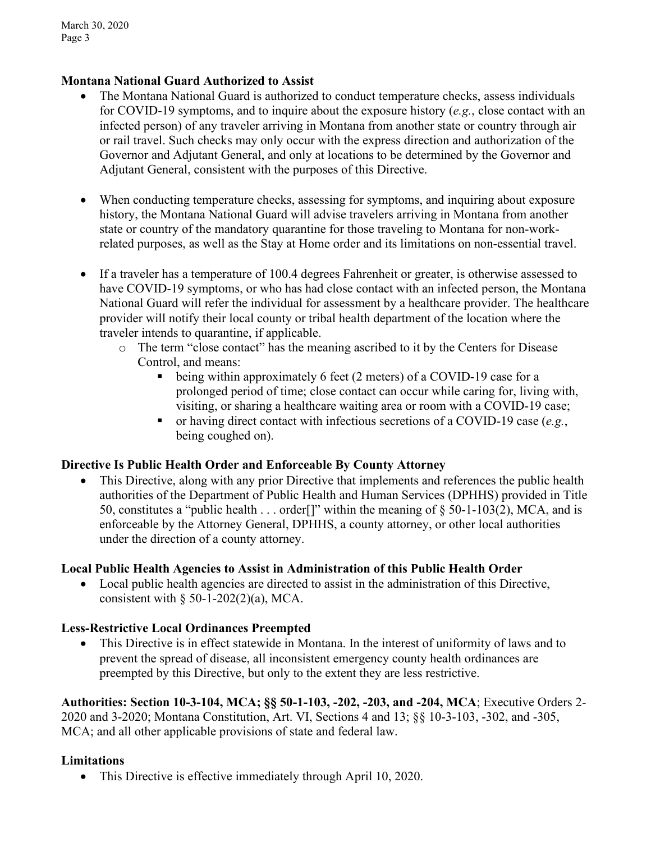March 30, 2020 Page 3

### **Montana National Guard Authorized to Assist**

- The Montana National Guard is authorized to conduct temperature checks, assess individuals for COVID-19 symptoms, and to inquire about the exposure history (*e.g.*, close contact with an infected person) of any traveler arriving in Montana from another state or country through air or rail travel. Such checks may only occur with the express direction and authorization of the Governor and Adjutant General, and only at locations to be determined by the Governor and Adjutant General, consistent with the purposes of this Directive.
- When conducting temperature checks, assessing for symptoms, and inquiring about exposure history, the Montana National Guard will advise travelers arriving in Montana from another state or country of the mandatory quarantine for those traveling to Montana for non-workrelated purposes, as well as the Stay at Home order and its limitations on non-essential travel.
- If a traveler has a temperature of 100.4 degrees Fahrenheit or greater, is otherwise assessed to have COVID-19 symptoms, or who has had close contact with an infected person, the Montana National Guard will refer the individual for assessment by a healthcare provider. The healthcare provider will notify their local county or tribal health department of the location where the traveler intends to quarantine, if applicable.
	- o The term "close contact" has the meaning ascribed to it by the Centers for Disease Control, and means:
		- being within approximately 6 feet (2 meters) of a COVID-19 case for a prolonged period of time; close contact can occur while caring for, living with, visiting, or sharing a healthcare waiting area or room with a COVID-19 case;
		- or having direct contact with infectious secretions of a COVID-19 case (*e.g.*, being coughed on).

#### **Directive Is Public Health Order and Enforceable By County Attorney**

• This Directive, along with any prior Directive that implements and references the public health authorities of the Department of Public Health and Human Services (DPHHS) provided in Title 50, constitutes a "public health . . . order<sup>[]"</sup> within the meaning of  $\S$  50-1-103(2), MCA, and is enforceable by the Attorney General, DPHHS, a county attorney, or other local authorities under the direction of a county attorney.

#### **Local Public Health Agencies to Assist in Administration of this Public Health Order**

• Local public health agencies are directed to assist in the administration of this Directive, consistent with  $\S$  50-1-202(2)(a), MCA.

## **Less-Restrictive Local Ordinances Preempted**

• This Directive is in effect statewide in Montana. In the interest of uniformity of laws and to prevent the spread of disease, all inconsistent emergency county health ordinances are preempted by this Directive, but only to the extent they are less restrictive.

**Authorities: Section 10-3-104, MCA; §§ 50-1-103, -202, -203, and -204, MCA**; Executive Orders 2- 2020 and 3-2020; Montana Constitution, Art. VI, Sections 4 and 13; §§ 10-3-103, -302, and -305, MCA; and all other applicable provisions of state and federal law.

#### **Limitations**

• This Directive is effective immediately through April 10, 2020.